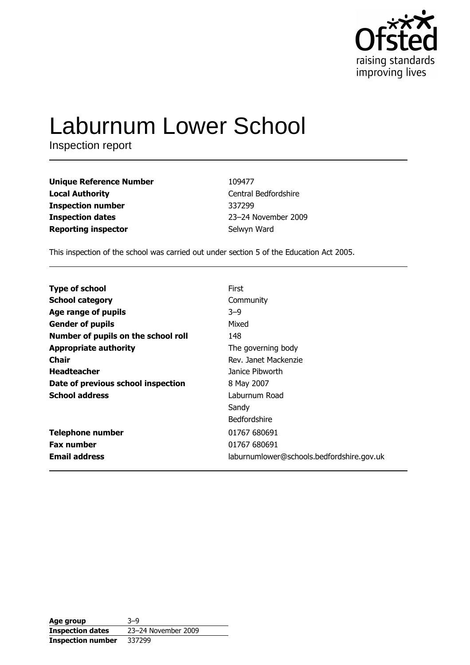

# **Laburnum Lower School**

Inspection report

| <b>Unique Reference Number</b> | 109477               |
|--------------------------------|----------------------|
| <b>Local Authority</b>         | Central Bedfordshire |
| <b>Inspection number</b>       | 337299               |
| <b>Inspection dates</b>        | 23-24 November 2009  |
| <b>Reporting inspector</b>     | Selwyn Ward          |

This inspection of the school was carried out under section 5 of the Education Act 2005.

| <b>Type of school</b>               | First                                     |
|-------------------------------------|-------------------------------------------|
| <b>School category</b>              | Community                                 |
| Age range of pupils                 | $3 - 9$                                   |
| <b>Gender of pupils</b>             | Mixed                                     |
| Number of pupils on the school roll | 148                                       |
| <b>Appropriate authority</b>        | The governing body                        |
| Chair                               | Rev. Janet Mackenzie                      |
| <b>Headteacher</b>                  | Janice Pibworth                           |
| Date of previous school inspection  | 8 May 2007                                |
| <b>School address</b>               | Laburnum Road                             |
|                                     | Sandy                                     |
|                                     | <b>Bedfordshire</b>                       |
| <b>Telephone number</b>             | 01767 680691                              |
| <b>Fax number</b>                   | 01767 680691                              |
| <b>Email address</b>                | laburnumlower@schools.bedfordshire.gov.uk |

| Age group                | $3-9$               |
|--------------------------|---------------------|
| <b>Inspection dates</b>  | 23-24 November 2009 |
| <b>Inspection number</b> | 337299              |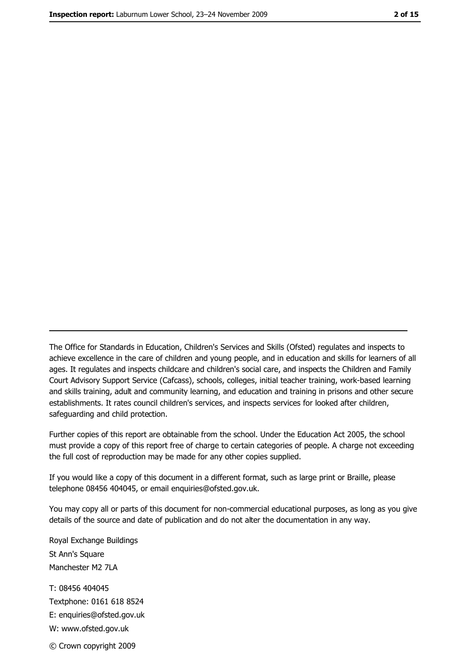The Office for Standards in Education, Children's Services and Skills (Ofsted) regulates and inspects to achieve excellence in the care of children and young people, and in education and skills for learners of all ages. It regulates and inspects childcare and children's social care, and inspects the Children and Family Court Advisory Support Service (Cafcass), schools, colleges, initial teacher training, work-based learning and skills training, adult and community learning, and education and training in prisons and other secure establishments. It rates council children's services, and inspects services for looked after children, safequarding and child protection.

Further copies of this report are obtainable from the school. Under the Education Act 2005, the school must provide a copy of this report free of charge to certain categories of people. A charge not exceeding the full cost of reproduction may be made for any other copies supplied.

If you would like a copy of this document in a different format, such as large print or Braille, please telephone 08456 404045, or email enquiries@ofsted.gov.uk.

You may copy all or parts of this document for non-commercial educational purposes, as long as you give details of the source and date of publication and do not alter the documentation in any way.

Royal Exchange Buildings St Ann's Square Manchester M2 7LA T: 08456 404045 Textphone: 0161 618 8524 E: enquiries@ofsted.gov.uk W: www.ofsted.gov.uk © Crown copyright 2009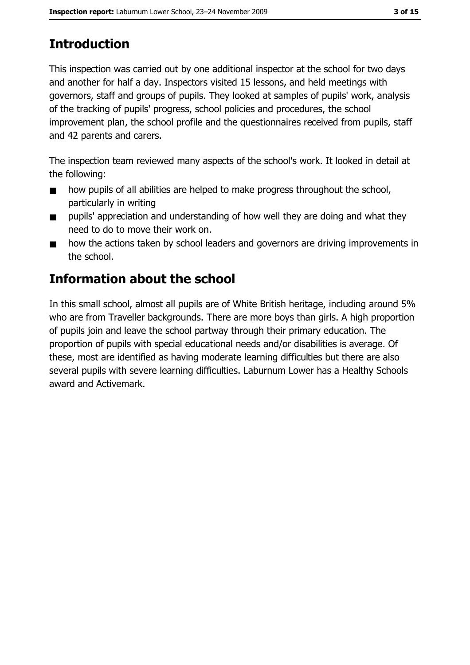# **Introduction**

This inspection was carried out by one additional inspector at the school for two days and another for half a day. Inspectors visited 15 lessons, and held meetings with governors, staff and groups of pupils. They looked at samples of pupils' work, analysis of the tracking of pupils' progress, school policies and procedures, the school improvement plan, the school profile and the questionnaires received from pupils, staff and 42 parents and carers.

The inspection team reviewed many aspects of the school's work. It looked in detail at the following:

- how pupils of all abilities are helped to make progress throughout the school,  $\blacksquare$ particularly in writing
- pupils' appreciation and understanding of how well they are doing and what they  $\blacksquare$ need to do to move their work on.
- how the actions taken by school leaders and governors are driving improvements in  $\blacksquare$ the school.

# **Information about the school**

In this small school, almost all pupils are of White British heritage, including around 5% who are from Traveller backgrounds. There are more boys than girls. A high proportion of pupils join and leave the school partway through their primary education. The proportion of pupils with special educational needs and/or disabilities is average. Of these, most are identified as having moderate learning difficulties but there are also several pupils with severe learning difficulties. Laburnum Lower has a Healthy Schools award and Activemark.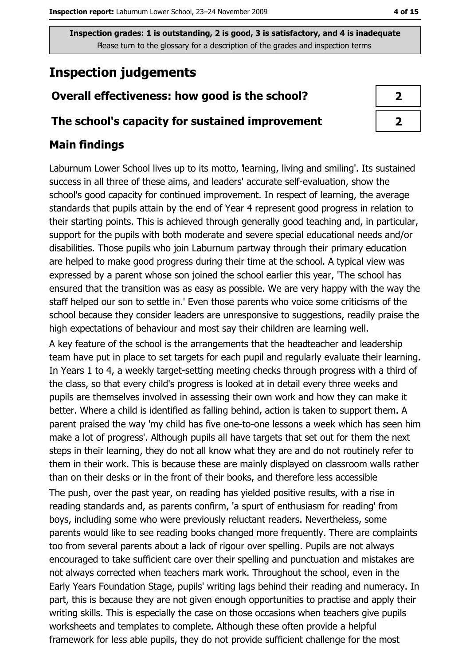## **Inspection judgements**

#### Overall effectiveness: how good is the school?

#### The school's capacity for sustained improvement

#### **Main findings**

Laburnum Lower School lives up to its motto, learning, living and smiling'. Its sustained success in all three of these aims, and leaders' accurate self-evaluation, show the school's good capacity for continued improvement. In respect of learning, the average standards that pupils attain by the end of Year 4 represent good progress in relation to their starting points. This is achieved through generally good teaching and, in particular, support for the pupils with both moderate and severe special educational needs and/or disabilities. Those pupils who join Laburnum partway through their primary education are helped to make good progress during their time at the school. A typical view was expressed by a parent whose son joined the school earlier this year, 'The school has ensured that the transition was as easy as possible. We are very happy with the way the staff helped our son to settle in.' Even those parents who voice some criticisms of the school because they consider leaders are unresponsive to suggestions, readily praise the high expectations of behaviour and most say their children are learning well.

A key feature of the school is the arrangements that the headteacher and leadership team have put in place to set targets for each pupil and regularly evaluate their learning. In Years 1 to 4, a weekly target-setting meeting checks through progress with a third of the class, so that every child's progress is looked at in detail every three weeks and pupils are themselves involved in assessing their own work and how they can make it better. Where a child is identified as falling behind, action is taken to support them. A parent praised the way 'my child has five one-to-one lessons a week which has seen him make a lot of progress'. Although pupils all have targets that set out for them the next steps in their learning, they do not all know what they are and do not routinely refer to them in their work. This is because these are mainly displayed on classroom walls rather than on their desks or in the front of their books, and therefore less accessible

The push, over the past year, on reading has yielded positive results, with a rise in reading standards and, as parents confirm, 'a spurt of enthusiasm for reading' from boys, including some who were previously reluctant readers. Nevertheless, some parents would like to see reading books changed more frequently. There are complaints too from several parents about a lack of rigour over spelling. Pupils are not always encouraged to take sufficient care over their spelling and punctuation and mistakes are not always corrected when teachers mark work. Throughout the school, even in the Early Years Foundation Stage, pupils' writing lags behind their reading and numeracy. In part, this is because they are not given enough opportunities to practise and apply their writing skills. This is especially the case on those occasions when teachers give pupils worksheets and templates to complete. Although these often provide a helpful framework for less able pupils, they do not provide sufficient challenge for the most

| フ |  |
|---|--|
| 2 |  |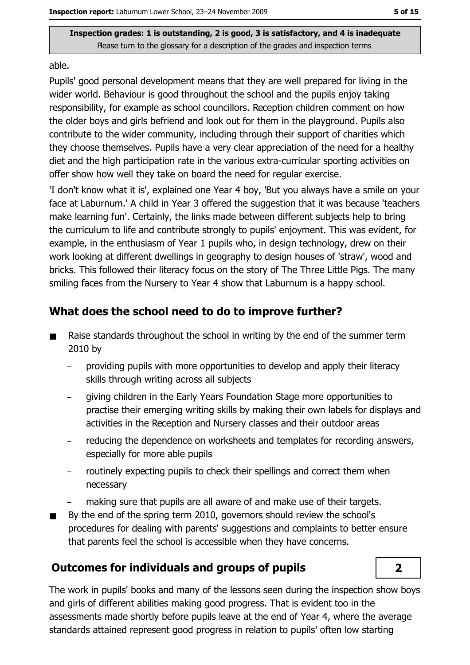able.

Pupils' good personal development means that they are well prepared for living in the wider world. Behaviour is good throughout the school and the pupils enjoy taking responsibility, for example as school councillors. Reception children comment on how the older boys and girls befriend and look out for them in the playground. Pupils also contribute to the wider community, including through their support of charities which they choose themselves. Pupils have a very clear appreciation of the need for a healthy diet and the high participation rate in the various extra-curricular sporting activities on offer show how well they take on board the need for regular exercise.

'I don't know what it is', explained one Year 4 boy, 'But you always have a smile on your face at Laburnum.' A child in Year 3 offered the suggestion that it was because 'teachers make learning fun'. Certainly, the links made between different subjects help to bring the curriculum to life and contribute strongly to pupils' enjoyment. This was evident, for example, in the enthusiasm of Year 1 pupils who, in design technology, drew on their work looking at different dwellings in geography to design houses of 'straw', wood and bricks. This followed their literacy focus on the story of The Three Little Pigs. The many smiling faces from the Nursery to Year 4 show that Laburnum is a happy school.

## What does the school need to do to improve further?

- Raise standards throughout the school in writing by the end of the summer term  $\blacksquare$ 2010 by
	- providing pupils with more opportunities to develop and apply their literacy skills through writing across all subjects
	- giving children in the Early Years Foundation Stage more opportunities to practise their emerging writing skills by making their own labels for displays and activities in the Reception and Nursery classes and their outdoor areas
	- reducing the dependence on worksheets and templates for recording answers, especially for more able pupils
	- routinely expecting pupils to check their spellings and correct them when necessary
	- making sure that pupils are all aware of and make use of their targets.
- By the end of the spring term 2010, governors should review the school's procedures for dealing with parents' suggestions and complaints to better ensure that parents feel the school is accessible when they have concerns.

### **Outcomes for individuals and groups of pupils**



The work in pupils' books and many of the lessons seen during the inspection show boys and girls of different abilities making good progress. That is evident too in the assessments made shortly before pupils leave at the end of Year 4, where the average standards attained represent good progress in relation to pupils' often low starting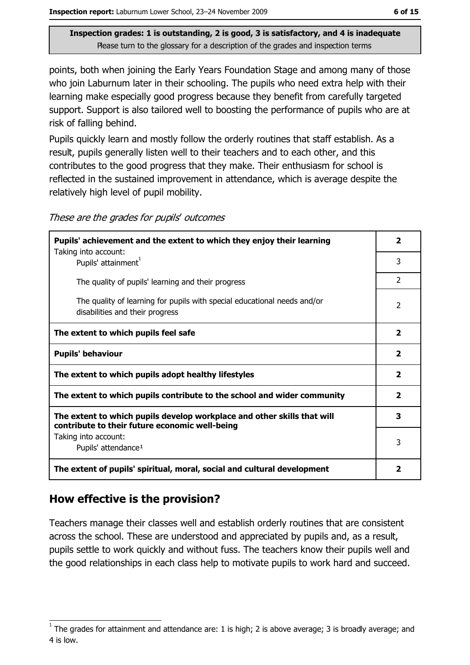points, both when joining the Early Years Foundation Stage and among many of those who join Laburnum later in their schooling. The pupils who need extra help with their learning make especially good progress because they benefit from carefully targeted support. Support is also tailored well to boosting the performance of pupils who are at risk of falling behind.

Pupils quickly learn and mostly follow the orderly routines that staff establish. As a result, pupils generally listen well to their teachers and to each other, and this contributes to the good progress that they make. Their enthusiasm for school is reflected in the sustained improvement in attendance, which is average despite the relatively high level of pupil mobility.

| Pupils' achievement and the extent to which they enjoy their learning                                                     |                |  |
|---------------------------------------------------------------------------------------------------------------------------|----------------|--|
| Taking into account:<br>Pupils' attainment <sup>1</sup>                                                                   | 3              |  |
| The quality of pupils' learning and their progress                                                                        | $\overline{2}$ |  |
| The quality of learning for pupils with special educational needs and/or<br>disabilities and their progress               |                |  |
| The extent to which pupils feel safe                                                                                      | $\mathbf{2}$   |  |
| <b>Pupils' behaviour</b>                                                                                                  |                |  |
| The extent to which pupils adopt healthy lifestyles                                                                       |                |  |
| The extent to which pupils contribute to the school and wider community                                                   |                |  |
| The extent to which pupils develop workplace and other skills that will<br>contribute to their future economic well-being | 3              |  |
| Taking into account:<br>Pupils' attendance <sup>1</sup>                                                                   |                |  |
| The extent of pupils' spiritual, moral, social and cultural development                                                   |                |  |

These are the grades for pupils' outcomes

## How effective is the provision?

Teachers manage their classes well and establish orderly routines that are consistent across the school. These are understood and appreciated by pupils and, as a result, pupils settle to work quickly and without fuss. The teachers know their pupils well and the good relationships in each class help to motivate pupils to work hard and succeed.

The grades for attainment and attendance are: 1 is high; 2 is above average; 3 is broadly average; and 4 is low.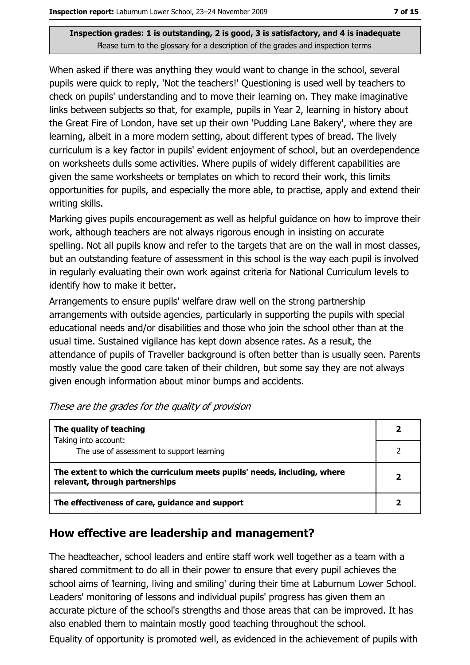When asked if there was anything they would want to change in the school, several pupils were quick to reply, 'Not the teachers!' Questioning is used well by teachers to check on pupils' understanding and to move their learning on. They make imaginative links between subjects so that, for example, pupils in Year 2, learning in history about the Great Fire of London, have set up their own 'Pudding Lane Bakery', where they are learning, albeit in a more modern setting, about different types of bread. The lively curriculum is a key factor in pupils' evident enjoyment of school, but an overdependence on worksheets dulls some activities. Where pupils of widely different capabilities are given the same worksheets or templates on which to record their work, this limits opportunities for pupils, and especially the more able, to practise, apply and extend their writing skills.

Marking gives pupils encouragement as well as helpful guidance on how to improve their work, although teachers are not always rigorous enough in insisting on accurate spelling. Not all pupils know and refer to the targets that are on the wall in most classes, but an outstanding feature of assessment in this school is the way each pupil is involved in regularly evaluating their own work against criteria for National Curriculum levels to identify how to make it better.

Arrangements to ensure pupils' welfare draw well on the strong partnership arrangements with outside agencies, particularly in supporting the pupils with special educational needs and/or disabilities and those who join the school other than at the usual time. Sustained vigilance has kept down absence rates. As a result, the attendance of pupils of Traveller background is often better than is usually seen. Parents mostly value the good care taken of their children, but some say they are not always given enough information about minor bumps and accidents.

| The quality of teaching                                                                                    | 2 |
|------------------------------------------------------------------------------------------------------------|---|
| Taking into account:<br>The use of assessment to support learning                                          |   |
|                                                                                                            |   |
| The extent to which the curriculum meets pupils' needs, including, where<br>relevant, through partnerships |   |
| The effectiveness of care, guidance and support                                                            |   |

| These are the grades for the quality of provision |
|---------------------------------------------------|
|---------------------------------------------------|

#### How effective are leadership and management?

The headteacher, school leaders and entire staff work well together as a team with a shared commitment to do all in their power to ensure that every pupil achieves the school aims of learning, living and smiling' during their time at Laburnum Lower School. Leaders' monitoring of lessons and individual pupils' progress has given them an accurate picture of the school's strengths and those areas that can be improved. It has also enabled them to maintain mostly good teaching throughout the school.

Equality of opportunity is promoted well, as evidenced in the achievement of pupils with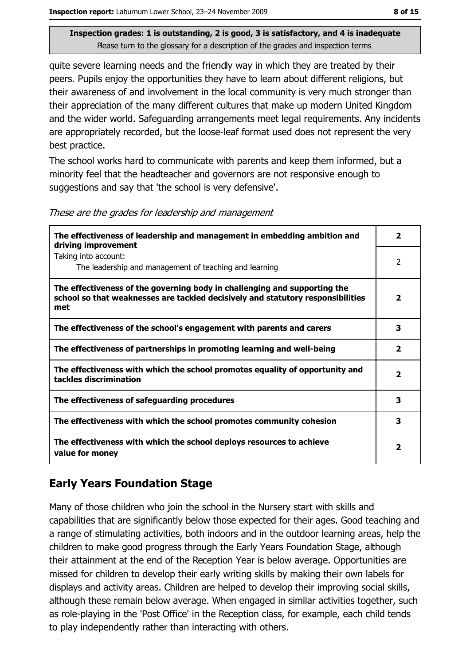quite severe learning needs and the friendly way in which they are treated by their peers. Pupils enjoy the opportunities they have to learn about different religions, but their awareness of and involvement in the local community is very much stronger than their appreciation of the many different cultures that make up modern United Kingdom and the wider world. Safeguarding arrangements meet legal requirements. Any incidents are appropriately recorded, but the loose-leaf format used does not represent the very best practice.

The school works hard to communicate with parents and keep them informed, but a minority feel that the headteacher and governors are not responsive enough to suggestions and say that 'the school is very defensive'.

These are the grades for leadership and management

| The effectiveness of leadership and management in embedding ambition and<br>driving improvement                                                                     |                         |  |
|---------------------------------------------------------------------------------------------------------------------------------------------------------------------|-------------------------|--|
| Taking into account:<br>The leadership and management of teaching and learning                                                                                      | 2                       |  |
| The effectiveness of the governing body in challenging and supporting the<br>school so that weaknesses are tackled decisively and statutory responsibilities<br>met | $\overline{\mathbf{2}}$ |  |
| The effectiveness of the school's engagement with parents and carers                                                                                                | 3                       |  |
| The effectiveness of partnerships in promoting learning and well-being                                                                                              | $\overline{\mathbf{2}}$ |  |
| The effectiveness with which the school promotes equality of opportunity and<br>tackles discrimination                                                              | 2                       |  |
| The effectiveness of safeguarding procedures                                                                                                                        | 3                       |  |
| The effectiveness with which the school promotes community cohesion                                                                                                 | 3                       |  |
| The effectiveness with which the school deploys resources to achieve<br>value for money                                                                             | 2                       |  |

### **Early Years Foundation Stage**

Many of those children who join the school in the Nursery start with skills and capabilities that are significantly below those expected for their ages. Good teaching and a range of stimulating activities, both indoors and in the outdoor learning areas, help the children to make good progress through the Early Years Foundation Stage, although their attainment at the end of the Reception Year is below average. Opportunities are missed for children to develop their early writing skills by making their own labels for displays and activity areas. Children are helped to develop their improving social skills, although these remain below average. When engaged in similar activities together, such as role-playing in the 'Post Office' in the Reception class, for example, each child tends to play independently rather than interacting with others.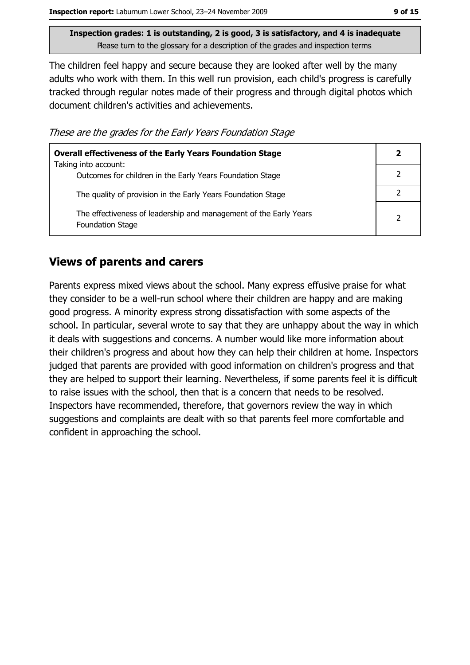The children feel happy and secure because they are looked after well by the many adults who work with them. In this well run provision, each child's progress is carefully tracked through regular notes made of their progress and through digital photos which document children's activities and achievements.

These are the grades for the Early Years Foundation Stage

| <b>Overall effectiveness of the Early Years Foundation Stage</b>                             |  |
|----------------------------------------------------------------------------------------------|--|
| Taking into account:<br>Outcomes for children in the Early Years Foundation Stage            |  |
| The quality of provision in the Early Years Foundation Stage                                 |  |
| The effectiveness of leadership and management of the Early Years<br><b>Foundation Stage</b> |  |

#### **Views of parents and carers**

Parents express mixed views about the school. Many express effusive praise for what they consider to be a well-run school where their children are happy and are making good progress. A minority express strong dissatisfaction with some aspects of the school. In particular, several wrote to say that they are unhappy about the way in which it deals with suggestions and concerns. A number would like more information about their children's progress and about how they can help their children at home. Inspectors judged that parents are provided with good information on children's progress and that they are helped to support their learning. Nevertheless, if some parents feel it is difficult to raise issues with the school, then that is a concern that needs to be resolved. Inspectors have recommended, therefore, that governors review the way in which suggestions and complaints are dealt with so that parents feel more comfortable and confident in approaching the school.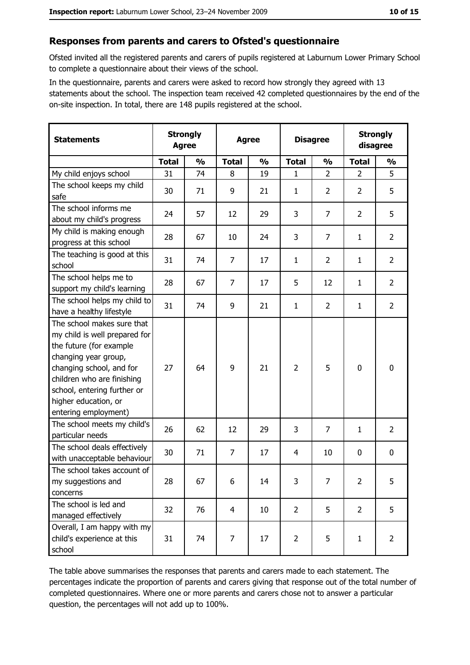#### Responses from parents and carers to Ofsted's questionnaire

Ofsted invited all the registered parents and carers of pupils registered at Laburnum Lower Primary School to complete a questionnaire about their views of the school.

In the questionnaire, parents and carers were asked to record how strongly they agreed with 13 statements about the school. The inspection team received 42 completed questionnaires by the end of the on-site inspection. In total, there are 148 pupils registered at the school.

| <b>Statements</b>                                                                                                                                                                                                                                       | <b>Strongly</b><br><b>Agree</b> |               | <b>Agree</b>   |               | <b>Disagree</b> |                |                | <b>Strongly</b><br>disagree |
|---------------------------------------------------------------------------------------------------------------------------------------------------------------------------------------------------------------------------------------------------------|---------------------------------|---------------|----------------|---------------|-----------------|----------------|----------------|-----------------------------|
|                                                                                                                                                                                                                                                         | <b>Total</b>                    | $\frac{0}{0}$ | <b>Total</b>   | $\frac{0}{0}$ | <b>Total</b>    | $\frac{0}{0}$  | <b>Total</b>   | $\frac{0}{0}$               |
| My child enjoys school                                                                                                                                                                                                                                  | 31                              | 74            | 8              | 19            | 1               | $\overline{2}$ | $\overline{2}$ | 5                           |
| The school keeps my child<br>safe                                                                                                                                                                                                                       | 30                              | 71            | 9              | 21            | $\mathbf{1}$    | $\overline{2}$ | $\overline{2}$ | 5                           |
| The school informs me<br>about my child's progress                                                                                                                                                                                                      | 24                              | 57            | 12             | 29            | 3               | $\overline{7}$ | $\overline{2}$ | 5                           |
| My child is making enough<br>progress at this school                                                                                                                                                                                                    | 28                              | 67            | 10             | 24            | 3               | 7              | $\mathbf{1}$   | $\overline{2}$              |
| The teaching is good at this<br>school                                                                                                                                                                                                                  | 31                              | 74            | 7              | 17            | 1               | $\overline{2}$ | 1              | $\overline{2}$              |
| The school helps me to<br>support my child's learning                                                                                                                                                                                                   | 28                              | 67            | 7              | 17            | 5               | 12             | $\mathbf{1}$   | $\overline{2}$              |
| The school helps my child to<br>have a healthy lifestyle                                                                                                                                                                                                | 31                              | 74            | 9              | 21            | $\mathbf{1}$    | $\overline{2}$ | 1              | $\overline{2}$              |
| The school makes sure that<br>my child is well prepared for<br>the future (for example<br>changing year group,<br>changing school, and for<br>children who are finishing<br>school, entering further or<br>higher education, or<br>entering employment) | 27                              | 64            | 9              | 21            | $\overline{2}$  | 5              | $\mathbf 0$    | $\mathbf 0$                 |
| The school meets my child's<br>particular needs                                                                                                                                                                                                         | 26                              | 62            | 12             | 29            | 3               | 7              | 1              | $\overline{2}$              |
| The school deals effectively<br>with unacceptable behaviour                                                                                                                                                                                             | 30                              | 71            | $\overline{7}$ | 17            | $\overline{4}$  | 10             | 0              | 0                           |
| The school takes account of<br>my suggestions and<br>concerns                                                                                                                                                                                           | 28                              | 67            | 6              | 14            | 3               | 7              | $\overline{2}$ | 5                           |
| The school is led and<br>managed effectively                                                                                                                                                                                                            | 32                              | 76            | $\overline{4}$ | 10            | $\overline{2}$  | 5              | $\overline{2}$ | 5                           |
| Overall, I am happy with my<br>child's experience at this<br>school                                                                                                                                                                                     | 31                              | 74            | 7              | 17            | $\overline{2}$  | 5              | $\mathbf{1}$   | $\overline{2}$              |

The table above summarises the responses that parents and carers made to each statement. The percentages indicate the proportion of parents and carers giving that response out of the total number of completed questionnaires. Where one or more parents and carers chose not to answer a particular question, the percentages will not add up to 100%.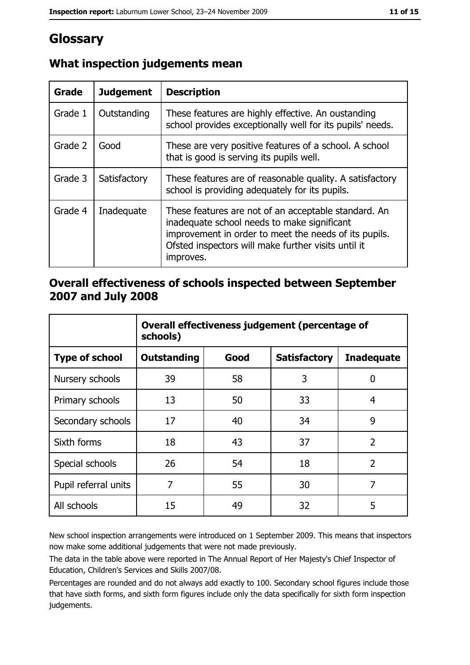# Glossary

| Grade   | <b>Judgement</b> | <b>Description</b>                                                                                                                                                                                                               |
|---------|------------------|----------------------------------------------------------------------------------------------------------------------------------------------------------------------------------------------------------------------------------|
| Grade 1 | Outstanding      | These features are highly effective. An oustanding<br>school provides exceptionally well for its pupils' needs.                                                                                                                  |
| Grade 2 | Good             | These are very positive features of a school. A school<br>that is good is serving its pupils well.                                                                                                                               |
| Grade 3 | Satisfactory     | These features are of reasonable quality. A satisfactory<br>school is providing adequately for its pupils.                                                                                                                       |
| Grade 4 | Inadequate       | These features are not of an acceptable standard. An<br>inadequate school needs to make significant<br>improvement in order to meet the needs of its pupils.<br>Ofsted inspectors will make further visits until it<br>improves. |

## What inspection judgements mean

#### Overall effectiveness of schools inspected between September 2007 and July 2008

|                       | Overall effectiveness judgement (percentage of<br>schools) |      |                     |                   |  |
|-----------------------|------------------------------------------------------------|------|---------------------|-------------------|--|
| <b>Type of school</b> | Outstanding                                                | Good | <b>Satisfactory</b> | <b>Inadequate</b> |  |
| Nursery schools       | 39                                                         | 58   | 3                   | 0                 |  |
| Primary schools       | 13                                                         | 50   | 33                  | 4                 |  |
| Secondary schools     | 17                                                         | 40   | 34                  | 9                 |  |
| Sixth forms           | 18                                                         | 43   | 37                  | $\overline{2}$    |  |
| Special schools       | 26                                                         | 54   | 18                  | $\overline{2}$    |  |
| Pupil referral units  | 7                                                          | 55   | 30                  | 7                 |  |
| All schools           | 15                                                         | 49   | 32                  | 5                 |  |

New school inspection arrangements were introduced on 1 September 2009. This means that inspectors now make some additional judgements that were not made previously.

The data in the table above were reported in The Annual Report of Her Majesty's Chief Inspector of Education, Children's Services and Skills 2007/08.

Percentages are rounded and do not always add exactly to 100. Secondary school figures include those that have sixth forms, and sixth form figures include only the data specifically for sixth form inspection judgements.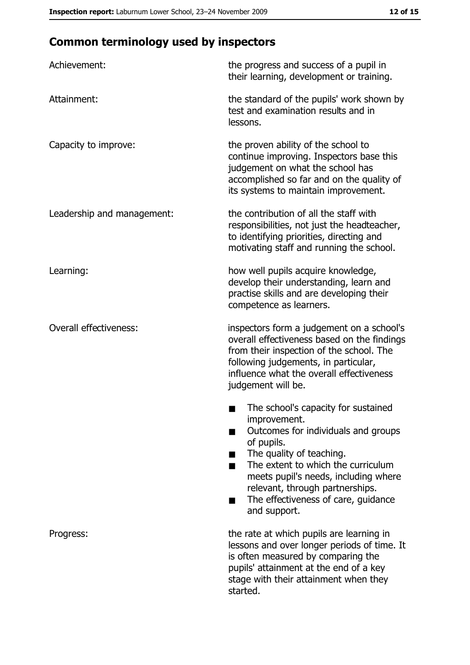# **Common terminology used by inspectors**

| Achievement:                  | the progress and success of a pupil in<br>their learning, development or training.                                                                                                                                                                                                                           |
|-------------------------------|--------------------------------------------------------------------------------------------------------------------------------------------------------------------------------------------------------------------------------------------------------------------------------------------------------------|
| Attainment:                   | the standard of the pupils' work shown by<br>test and examination results and in<br>lessons.                                                                                                                                                                                                                 |
| Capacity to improve:          | the proven ability of the school to<br>continue improving. Inspectors base this<br>judgement on what the school has<br>accomplished so far and on the quality of<br>its systems to maintain improvement.                                                                                                     |
| Leadership and management:    | the contribution of all the staff with<br>responsibilities, not just the headteacher,<br>to identifying priorities, directing and<br>motivating staff and running the school.                                                                                                                                |
| Learning:                     | how well pupils acquire knowledge,<br>develop their understanding, learn and<br>practise skills and are developing their<br>competence as learners.                                                                                                                                                          |
| <b>Overall effectiveness:</b> | inspectors form a judgement on a school's<br>overall effectiveness based on the findings<br>from their inspection of the school. The<br>following judgements, in particular,<br>influence what the overall effectiveness<br>judgement will be.                                                               |
|                               | The school's capacity for sustained<br>improvement.<br>Outcomes for individuals and groups<br>of pupils.<br>The quality of teaching.<br>The extent to which the curriculum<br>meets pupil's needs, including where<br>relevant, through partnerships.<br>The effectiveness of care, guidance<br>and support. |
| Progress:                     | the rate at which pupils are learning in<br>lessons and over longer periods of time. It<br>is often measured by comparing the<br>pupils' attainment at the end of a key<br>stage with their attainment when they<br>started.                                                                                 |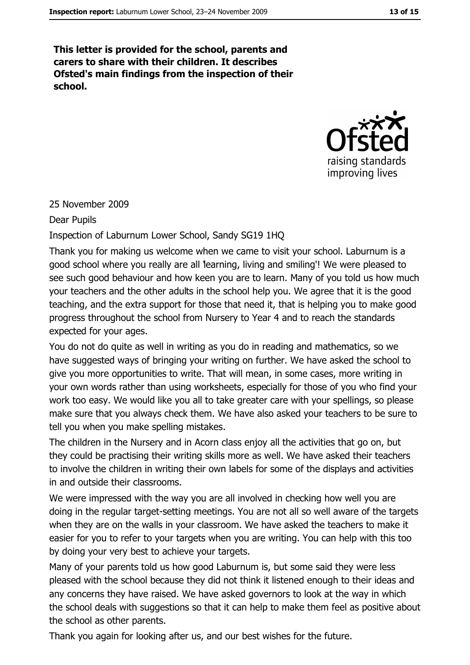This letter is provided for the school, parents and carers to share with their children. It describes Ofsted's main findings from the inspection of their school.



#### 25 November 2009

#### **Dear Pupils**

#### Inspection of Laburnum Lower School, Sandy SG19 1HQ

Thank you for making us welcome when we came to visit your school. Laburnum is a good school where you really are all learning, living and smiling! We were pleased to see such good behaviour and how keen you are to learn. Many of you told us how much your teachers and the other adults in the school help you. We agree that it is the good teaching, and the extra support for those that need it, that is helping you to make good progress throughout the school from Nursery to Year 4 and to reach the standards expected for your ages.

You do not do quite as well in writing as you do in reading and mathematics, so we have suggested ways of bringing your writing on further. We have asked the school to give you more opportunities to write. That will mean, in some cases, more writing in your own words rather than using worksheets, especially for those of you who find your work too easy. We would like you all to take greater care with your spellings, so please make sure that you always check them. We have also asked your teachers to be sure to tell you when you make spelling mistakes.

The children in the Nursery and in Acorn class enjoy all the activities that go on, but they could be practising their writing skills more as well. We have asked their teachers to involve the children in writing their own labels for some of the displays and activities in and outside their classrooms.

We were impressed with the way you are all involved in checking how well you are doing in the regular target-setting meetings. You are not all so well aware of the targets when they are on the walls in your classroom. We have asked the teachers to make it easier for you to refer to your targets when you are writing. You can help with this too by doing your very best to achieve your targets.

Many of your parents told us how good Laburnum is, but some said they were less pleased with the school because they did not think it listened enough to their ideas and any concerns they have raised. We have asked governors to look at the way in which the school deals with suggestions so that it can help to make them feel as positive about the school as other parents.

Thank you again for looking after us, and our best wishes for the future.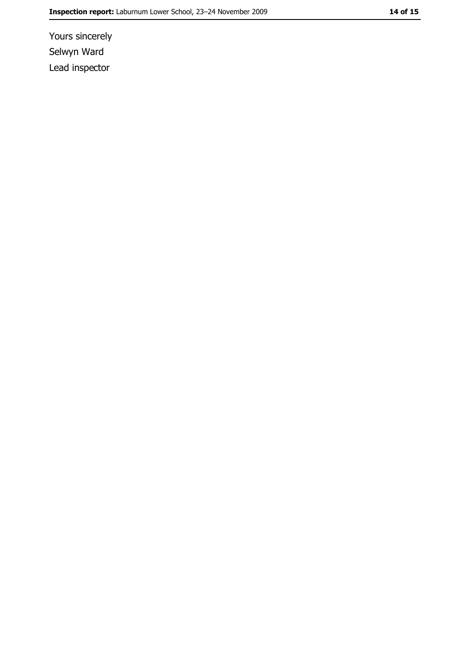Yours sincerely Selwyn Ward Lead inspector